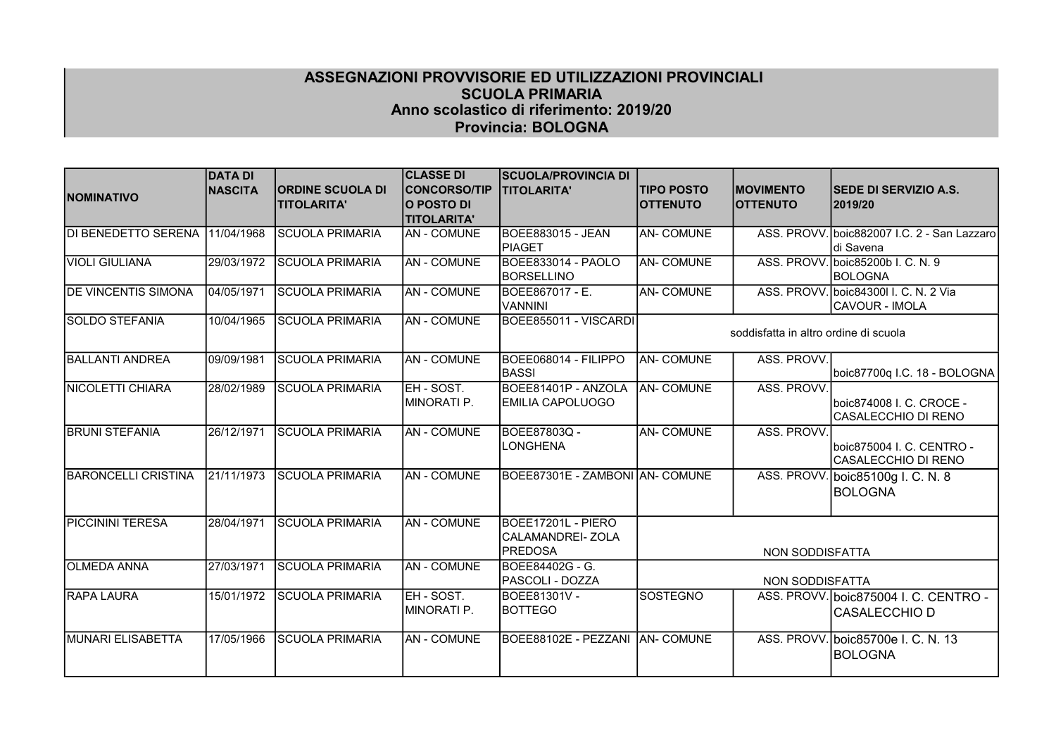## ASSEGNAZIONI PROVVISORIE ED UTILIZZAZIONI PROVINCIALI SCUOLA PRIMARIA Anno scolastico di riferimento: 2019/20 Provincia: BOLOGNA

|                            | <b>DATA DI</b> |                         | <b>CLASSE DI</b>    | <b>SCUOLA/PROVINCIA DI</b>      |                   |                                       |                                             |
|----------------------------|----------------|-------------------------|---------------------|---------------------------------|-------------------|---------------------------------------|---------------------------------------------|
| <b>NOMINATIVO</b>          | <b>NASCITA</b> | <b>ORDINE SCUOLA DI</b> | <b>CONCORSO/TIP</b> | <b>TITOLARITA'</b>              | <b>TIPO POSTO</b> | <b>MOVIMENTO</b>                      | <b>SEDE DI SERVIZIO A.S.</b>                |
|                            |                | <b>TITOLARITA'</b>      | O POSTO DI          |                                 | <b>OTTENUTO</b>   | <b>OTTENUTO</b>                       | 2019/20                                     |
|                            |                |                         | <b>TITOLARITA'</b>  |                                 |                   |                                       |                                             |
| <b>DI BENEDETTO SERENA</b> | 11/04/1968     | <b>SCUOLA PRIMARIA</b>  | <b>AN - COMUNE</b>  | <b>BOEE883015 - JEAN</b>        | <b>AN-COMUNE</b>  |                                       | ASS. PROVV. boic882007 I.C. 2 - San Lazzaro |
|                            |                |                         |                     | PIAGET                          |                   |                                       | di Savena                                   |
| VIOLI GIULIANA             | 29/03/1972     | <b>SCUOLA PRIMARIA</b>  | <b>AN - COMUNE</b>  | BOEE833014 - PAOLO              | <b>AN- COMUNE</b> |                                       | ASS. PROVV. boic85200b I. C. N. 9           |
|                            |                |                         |                     | <b>BORSELLINO</b>               |                   |                                       | <b>BOLOGNA</b>                              |
| <b>DE VINCENTIS SIMONA</b> | 04/05/1971     | <b>SCUOLA PRIMARIA</b>  | <b>AN - COMUNE</b>  | BOEE867017 - E.                 | <b>AN-COMUNE</b>  |                                       | ASS. PROVV. boic84300 I. C. N. 2 Via        |
|                            |                |                         |                     | <b>VANNINI</b>                  |                   |                                       | CAVOUR - IMOLA                              |
| <b>SOLDO STEFANIA</b>      | 10/04/1965     | <b>SCUOLA PRIMARIA</b>  | <b>AN - COMUNE</b>  | BOEE855011 - VISCARDI           |                   |                                       |                                             |
|                            |                |                         |                     |                                 |                   | soddisfatta in altro ordine di scuola |                                             |
| <b>BALLANTI ANDREA</b>     | 09/09/1981     | <b>SCUOLA PRIMARIA</b>  | <b>AN - COMUNE</b>  | BOEE068014 - FILIPPO            | <b>AN- COMUNE</b> | ASS. PROVV.                           |                                             |
|                            |                |                         |                     | <b>IBASSI</b>                   |                   |                                       | boic87700q I.C. 18 - BOLOGNA                |
| NICOLETTI CHIARA           | 28/02/1989     | <b>SCUOLA PRIMARIA</b>  | EH - SOST.          | BOEE81401P - ANZOLA             | <b>AN- COMUNE</b> | ASS. PROVV.                           |                                             |
|                            |                |                         | MINORATI P.         | <b>IEMILIA CAPOLUOGO</b>        |                   |                                       | boic874008 I. C. CROCE -                    |
|                            |                |                         |                     |                                 |                   |                                       | CASALECCHIO DI RENO                         |
| <b>BRUNI STEFANIA</b>      | 26/12/1971     | <b>SCUOLA PRIMARIA</b>  | <b>AN - COMUNE</b>  | BOEE87803Q -                    | <b>AN- COMUNE</b> | ASS. PROVV.                           |                                             |
|                            |                |                         |                     | <b>ILONGHENA</b>                |                   |                                       | boic875004 I. C. CENTRO -                   |
|                            |                |                         |                     |                                 |                   |                                       | CASALECCHIO DI RENO                         |
| <b>BARONCELLI CRISTINA</b> | 21/11/1973     | <b>SCUOLA PRIMARIA</b>  | <b>AN - COMUNE</b>  | BOEE87301E - ZAMBONI AN- COMUNE |                   | ASS. PROVV.                           | boic85100g I. C. N. 8                       |
|                            |                |                         |                     |                                 |                   |                                       | <b>BOLOGNA</b>                              |
|                            |                |                         |                     |                                 |                   |                                       |                                             |
| <b>PICCININI TERESA</b>    | 28/04/1971     | <b>SCUOLA PRIMARIA</b>  | AN - COMUNE         | BOEE17201L - PIERO              |                   |                                       |                                             |
|                            |                |                         |                     | CALAMANDREI-ZOLA                |                   |                                       |                                             |
|                            |                |                         |                     | <b>PREDOSA</b>                  |                   | NON SODDISFATTA                       |                                             |
| <b>OLMEDA ANNA</b>         | 27/03/1971     | <b>SCUOLA PRIMARIA</b>  | <b>AN - COMUNE</b>  | BOEE84402G - G.                 |                   |                                       |                                             |
|                            |                |                         |                     | <b>PASCOLI - DOZZA</b>          |                   | NON SODDISFATTA                       |                                             |
| <b>RAPA LAURA</b>          | 15/01/1972     | <b>SCUOLA PRIMARIA</b>  | EH - SOST.          | BOEE81301V -                    | SOSTEGNO          |                                       | ASS. PROVV. boic875004 I. C. CENTRO -       |
|                            |                |                         | MINORATI P.         | <b>BOTTEGO</b>                  |                   |                                       | CASALECCHIO D                               |
|                            |                |                         |                     |                                 |                   |                                       |                                             |
| MUNARI ELISABETTA          | 17/05/1966     | <b>SCUOLA PRIMARIA</b>  | AN - COMUNE         | BOEE88102E - PEZZANI AN- COMUNE |                   |                                       | ASS. PROVV. boic85700e I. C. N. 13          |
|                            |                |                         |                     |                                 |                   |                                       | <b>BOLOGNA</b>                              |
|                            |                |                         |                     |                                 |                   |                                       |                                             |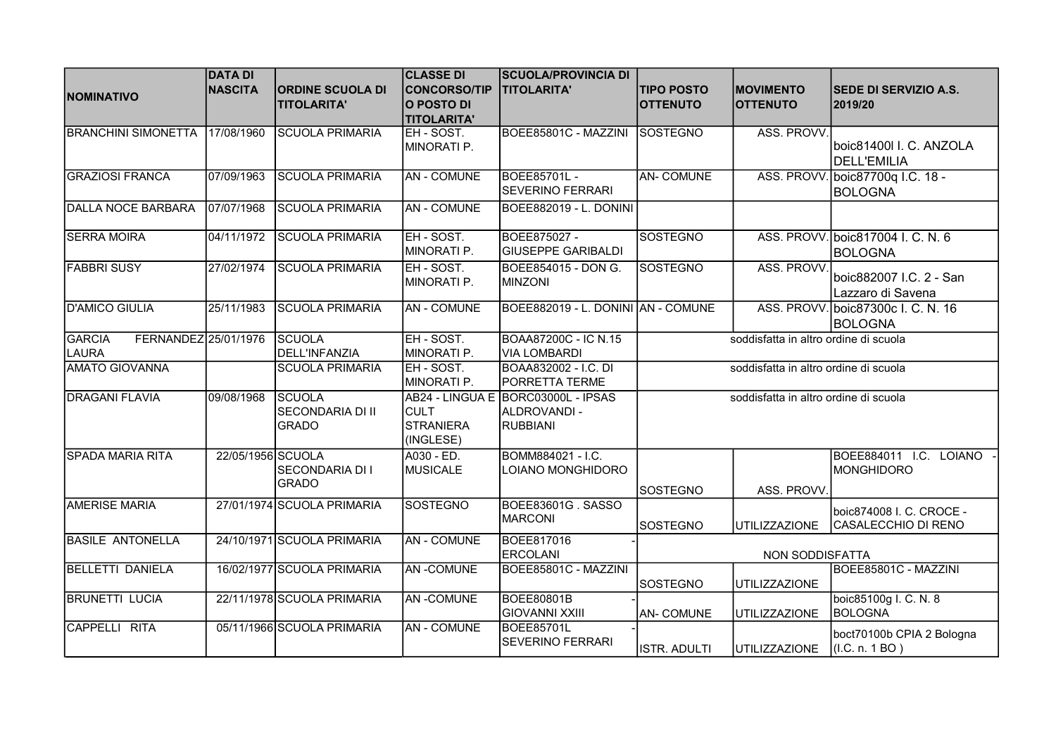| <b>NOMINATIVO</b>                                     | <b>DATA DI</b><br><b>NASCITA</b> | <b>ORDINE SCUOLA DI</b><br><b>TITOLARITA'</b>     | <b>CLASSE DI</b><br><b>CONCORSO/TIP</b><br>O POSTO DI<br><b>TITOLARITA'</b> | <b>SCUOLA/PROVINCIA DI</b><br><b>TITOLARITA'</b>                     | <b>TIPO POSTO</b><br><b>OTTENUTO</b>  | <b>MOVIMENTO</b><br><b>OTTENUTO</b>   | <b>SEDE DI SERVIZIO A.S.</b><br>2019/20              |
|-------------------------------------------------------|----------------------------------|---------------------------------------------------|-----------------------------------------------------------------------------|----------------------------------------------------------------------|---------------------------------------|---------------------------------------|------------------------------------------------------|
| <b>BRANCHINI SIMONETTA</b>                            | 17/08/1960                       | <b>SCUOLA PRIMARIA</b>                            | EH-SOST.<br>MINORATI P.                                                     | BOEE85801C - MAZZINI                                                 | SOSTEGNO                              | ASS. PROVV.                           | boic81400I I. C. ANZOLA<br><b>DELL'EMILIA</b>        |
| <b>GRAZIOSI FRANCA</b>                                | 07/09/1963                       | <b>SCUOLA PRIMARIA</b>                            | <b>AN-COMUNE</b>                                                            | <b>BOEE85701L-</b><br><b>SEVERINO FERRARI</b>                        | <b>AN-COMUNE</b>                      |                                       | ASS. PROVV. boic87700g I.C. 18 -<br><b>BOLOGNA</b>   |
| DALLA NOCE BARBARA                                    | 07/07/1968                       | <b>SCUOLA PRIMARIA</b>                            | <b>AN - COMUNE</b>                                                          | BOEE882019 - L. DONINI                                               |                                       |                                       |                                                      |
| <b>SERRA MOIRA</b>                                    | 04/11/1972                       | <b>SCUOLA PRIMARIA</b>                            | EH - SOST.<br>MINORATI P.                                                   | BOEE875027 -<br><b>GIUSEPPE GARIBALDI</b>                            | <b>SOSTEGNO</b>                       |                                       | ASS. PROVV. boic817004 I. C. N. 6<br>BOLOGNA         |
| <b>FABBRI SUSY</b>                                    | 27/02/1974                       | <b>SCUOLA PRIMARIA</b>                            | EH - SOST.<br>MINORATI P.                                                   | BOEE854015 - DON G.<br><b>MINZONI</b>                                | <b>SOSTEGNO</b>                       | ASS. PROVV.                           | boic882007 I.C. 2 - San<br>Lazzaro di Savena         |
| <b>D'AMICO GIULIA</b>                                 | 25/11/1983                       | <b>SCUOLA PRIMARIA</b>                            | <b>AN - COMUNE</b>                                                          | BOEE882019 - L. DONINI AN - COMUNE                                   |                                       |                                       | ASS. PROVV. boic87300c I. C. N. 16<br><b>BOLOGNA</b> |
| <b>GARCIA</b><br>FERNANDEZ 25/01/1976<br><b>LAURA</b> |                                  | SCUOLA<br>DELL'INFANZIA                           | EH - SOST.<br>MINORATI P.                                                   | BOAA87200C - IC N.15<br><b>VIA LOMBARDI</b>                          |                                       | soddisfatta in altro ordine di scuola |                                                      |
| <b>AMATO GIOVANNA</b>                                 |                                  | <b>SCUOLA PRIMARIA</b>                            | EH - SOST.<br>MINORATI P.                                                   | BOAA832002 - I.C. DI<br>PORRETTA TERME                               |                                       | soddisfatta in altro ordine di scuola |                                                      |
| <b>DRAGANI FLAVIA</b>                                 | 09/08/1968                       | <b>SCUOLA</b><br>SECONDARIA DI II<br><b>GRADO</b> | <b>CULT</b><br><b>STRANIERA</b><br>(INGLESE)                                | AB24 - LINGUA E BORC03000L - IPSAS<br>ALDROVANDI-<br><b>RUBBIANI</b> | soddisfatta in altro ordine di scuola |                                       |                                                      |
| <b>SPADA MARIA RITA</b>                               | 22/05/1956 SCUOLA                | SECONDARIA DI I<br><b>GRADO</b>                   | A030 - ED.<br>MUSICALE                                                      | BOMM884021 - I.C.<br>LOIANO MONGHIDORO                               | SOSTEGNO                              | ASS. PROVV.                           | BOEE884011 I.C. LOIANO<br><b>MONGHIDORO</b>          |
| <b>AMERISE MARIA</b>                                  |                                  | 27/01/1974 SCUOLA PRIMARIA                        | <b>SOSTEGNO</b>                                                             | BOEE83601G. SASSO<br>MARCONI                                         | <b>SOSTEGNO</b>                       | UTILIZZAZIONE                         | boic874008 I. C. CROCE -<br>CASALECCHIO DI RENO      |
| <b>BASILE ANTONELLA</b>                               |                                  | 24/10/1971 SCUOLA PRIMARIA                        | <b>AN-COMUNE</b>                                                            | <b>BOEE817016</b><br><b>ERCOLANI</b>                                 | NON SODDISFATTA                       |                                       |                                                      |
| <b>BELLETTI DANIELA</b>                               |                                  | 16/02/1977 SCUOLA PRIMARIA                        | <b>AN-COMUNE</b>                                                            | BOEE85801C - MAZZINI                                                 | SOSTEGNO                              | <b>UTILIZZAZIONE</b>                  | BOEE85801C - MAZZINI                                 |
| <b>BRUNETTI LUCIA</b>                                 |                                  | 22/11/1978 SCUOLA PRIMARIA                        | <b>AN-COMUNE</b>                                                            | <b>BOEE80801B</b><br><b>GIOVANNI XXIII</b>                           | <b>AN-COMUNE</b>                      | <b>UTILIZZAZIONE</b>                  | boic85100g I. C. N. 8<br><b>BOLOGNA</b>              |
| CAPPELLI RITA                                         |                                  | 05/11/1966 SCUOLA PRIMARIA                        | <b>AN - COMUNE</b>                                                          | <b>BOEE85701L</b><br>SEVERINO FERRARI                                | ISTR. ADULTI                          | <b>UTILIZZAZIONE</b>                  | boct70100b CPIA 2 Bologna<br>(I.C. n. 1 BO)          |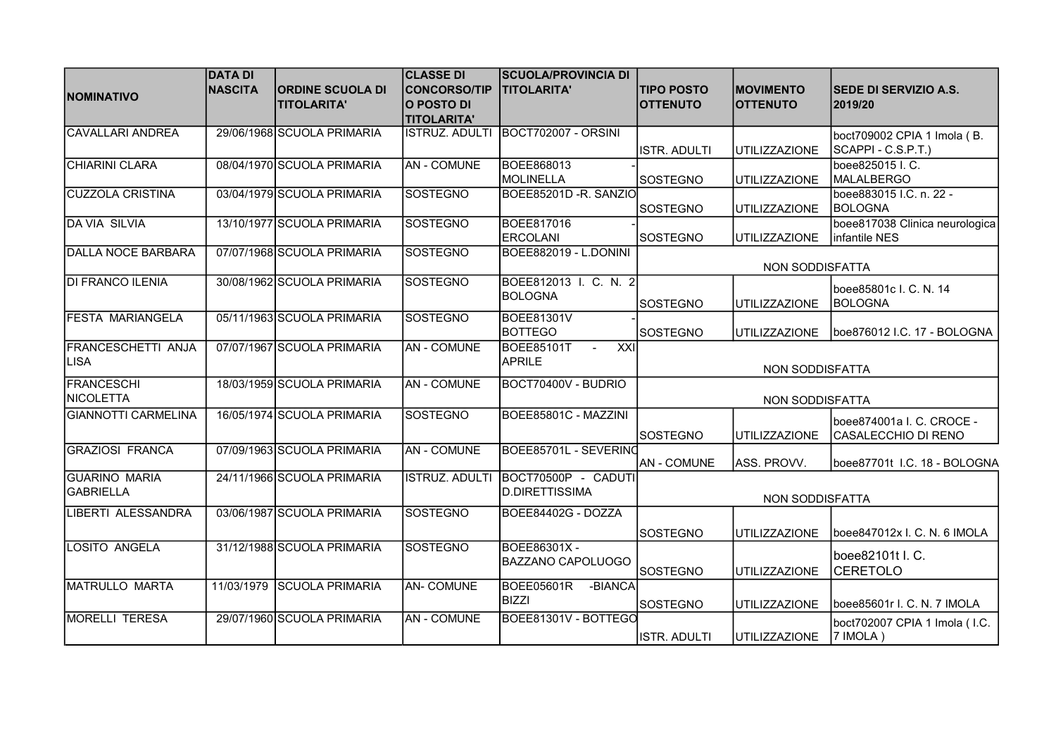|                            | <b>DATA DI</b> |                            | <b>CLASSE DI</b>      | <b>SCUOLA/PROVINCIA DI</b>                   |                    |                      |                                |
|----------------------------|----------------|----------------------------|-----------------------|----------------------------------------------|--------------------|----------------------|--------------------------------|
|                            | <b>NASCITA</b> | <b>IORDINE SCUOLA DI</b>   | <b>CONCORSO/TIP</b>   | <b>TITOLARITA'</b>                           | <b>TIPO POSTO</b>  | <b>IMOVIMENTO</b>    | <b>SEDE DI SERVIZIO A.S.</b>   |
| <b>NOMINATIVO</b>          |                | <b>TITOLARITA'</b>         | O POSTO DI            |                                              | <b>OTTENUTO</b>    | <b>OTTENUTO</b>      | 2019/20                        |
|                            |                |                            | <b>TITOLARITA'</b>    |                                              |                    |                      |                                |
| <b>CAVALLARI ANDREA</b>    |                | 29/06/1968 SCUOLA PRIMARIA | ISTRUZ. ADULTI        | BOCT702007 - ORSINI                          |                    |                      | boct709002 CPIA 1 Imola (B.    |
|                            |                |                            |                       |                                              | ISTR. ADULTI       | UTILIZZAZIONE        | SCAPPI - C.S.P.T.)             |
| <b>CHIARINI CLARA</b>      |                | 08/04/1970 SCUOLA PRIMARIA | <b>AN - COMUNE</b>    | BOEE868013                                   |                    |                      | boee825015 I.C.                |
|                            |                |                            |                       | MOLINELLA                                    | <b>SOSTEGNO</b>    | UTILIZZAZIONE        | MALALBERGO                     |
| <b>CUZZOLA CRISTINA</b>    |                | 03/04/1979 SCUOLA PRIMARIA | <b>SOSTEGNO</b>       | BOEE85201D - R. SANZIO                       |                    |                      | boee883015 I.C. n. 22 -        |
|                            |                |                            |                       |                                              | ISOSTEGNO          | <b>UTILIZZAZIONE</b> | BOLOGNA                        |
| DA VIA SILVIA              |                | 13/10/1977 SCUOLA PRIMARIA | SOSTEGNO              | BOEE817016                                   |                    |                      | boee817038 Clinica neurologica |
|                            |                |                            |                       | <b>ERCOLANI</b>                              | <b>SOSTEGNO</b>    | UTILIZZAZIONE        | Iinfantile NES                 |
| <b>DALLA NOCE BARBARA</b>  |                | 07/07/1968 SCUOLA PRIMARIA | <b>SOSTEGNO</b>       | BOEE882019 - L.DONINI                        |                    |                      |                                |
|                            |                |                            |                       |                                              |                    | NON SODDISFATTA      |                                |
| <b>DI FRANCO ILENIA</b>    |                | 30/08/1962 SCUOLA PRIMARIA | <b>SOSTEGNO</b>       | BOEE812013 I. C. N. 2                        |                    |                      | boee85801c I. C. N. 14         |
|                            |                |                            |                       | <b>BOLOGNA</b>                               | <b>SOSTEGNO</b>    | IUTILIZZAZIONE       | BOLOGNA                        |
| <b>FESTA MARIANGELA</b>    |                | 05/11/1963 SCUOLA PRIMARIA | <b>SOSTEGNO</b>       | <b>BOEE81301V</b>                            |                    |                      |                                |
|                            |                |                            |                       | <b>BOTTEGO</b>                               | SOSTEGNO           | UTILIZZAZIONE        | boe876012 I.C. 17 - BOLOGNA    |
| <b>FRANCESCHETTI ANJA</b>  |                | 07/07/1967 SCUOLA PRIMARIA | <b>AN - COMUNE</b>    | $x \times 1$<br>BOEE85101T<br>$\blacksquare$ |                    |                      |                                |
| <b>LISA</b>                |                |                            |                       | <b>APRILE</b>                                |                    |                      |                                |
| <b>FRANCESCHI</b>          |                | 18/03/1959 SCUOLA PRIMARIA | <b>AN - COMUNE</b>    | BOCT70400V - BUDRIO                          |                    | NON SODDISFATTA      |                                |
| NICOLETTA                  |                |                            |                       |                                              |                    |                      |                                |
|                            |                |                            |                       |                                              |                    | NON SODDISFATTA      |                                |
| <b>GIANNOTTI CARMELINA</b> |                | 16/05/1974 SCUOLA PRIMARIA | <b>SOSTEGNO</b>       | BOEE85801C - MAZZINI                         |                    |                      | boee874001a I. C. CROCE -      |
|                            |                |                            |                       |                                              | SOSTEGNO           | UTILIZZAZIONE        | CASALECCHIO DI RENO            |
| <b>GRAZIOSI FRANCA</b>     |                | 07/09/1963 SCUOLA PRIMARIA | <b>AN - COMUNE</b>    | BOEE85701L - SEVERING                        |                    |                      |                                |
|                            |                |                            |                       |                                              | <b>AN - COMUNE</b> | ASS. PROVV.          | boee87701t I.C. 18 - BOLOGNA   |
| <b>GUARINO MARIA</b>       |                | 24/11/1966 SCUOLA PRIMARIA | <b>ISTRUZ. ADULTI</b> | BOCT70500P - CADUTI                          |                    |                      |                                |
| GABRIELLA                  |                |                            |                       | <b>D.DIRETTISSIMA</b>                        |                    | NON SODDISFATTA      |                                |
| LIBERTI ALESSANDRA         |                | 03/06/1987 SCUOLA PRIMARIA | <b>SOSTEGNO</b>       | BOEE84402G - DOZZA                           |                    |                      |                                |
|                            |                |                            |                       |                                              | SOSTEGNO           | <b>UTILIZZAZIONE</b> | boee847012x I. C. N. 6 IMOLA   |
| LOSITO ANGELA              |                | 31/12/1988 SCUOLA PRIMARIA | <b>SOSTEGNO</b>       | BOEE86301X -                                 |                    |                      |                                |
|                            |                |                            |                       | <b>BAZZANO CAPOLUOGO</b>                     |                    |                      | boee82101t I. C.               |
|                            |                |                            |                       |                                              | SOSTEGNO           | UTILIZZAZIONE        | <b>CERETOLO</b>                |
| <b>MATRULLO MARTA</b>      |                | 11/03/1979 SCUOLA PRIMARIA | <b>AN- COMUNE</b>     | <b>BOEE05601R</b><br>-BIANCA                 |                    |                      |                                |
|                            |                |                            |                       | <b>BIZZI</b>                                 | SOSTEGNO           | UTILIZZAZIONE        | boee85601r I. C. N. 7 IMOLA    |
| <b>MORELLI TERESA</b>      |                | 29/07/1960 SCUOLA PRIMARIA | <b>AN-COMUNE</b>      | BOEE81301V - BOTTEGO                         |                    |                      | boct702007 CPIA 1 Imola (I.C.  |
|                            |                |                            |                       |                                              | ISTR. ADULTI       | UTILIZZAZIONE        | 7 IMOLA)                       |
|                            |                |                            |                       |                                              |                    |                      |                                |